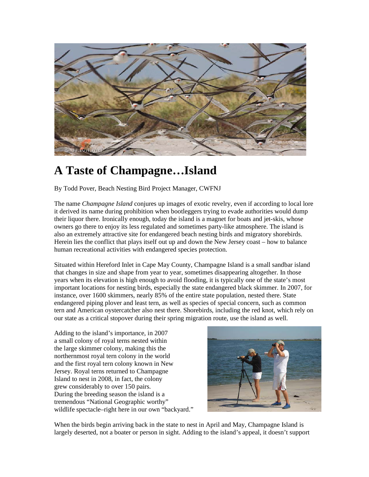

## **A Taste of Champagne…Island**

By Todd Pover, Beach Nesting Bird Project Manager, CWFNJ

The name *Champagne Island* conjures up images of exotic revelry, even if according to local lore it derived its name during prohibition when bootleggers trying to evade authorities would dump their liquor there. Ironically enough, today the island is a magnet for boats and jet-skis, whose owners go there to enjoy its less regulated and sometimes party-like atmosphere. The island is also an extremely attractive site for endangered beach nesting birds and migratory shorebirds. Herein lies the conflict that plays itself out up and down the New Jersey coast – how to balance human recreational activities with endangered species protection.

Situated within Hereford Inlet in Cape May County, Champagne Island is a small sandbar island that changes in size and shape from year to year, sometimes disappearing altogether. In those years when its elevation is high enough to avoid flooding, it is typically one of the state's most important locations for nesting birds, especially the state endangered black skimmer. In 2007, for instance, over 1600 skimmers, nearly 85% of the entire state population, nested there. State endangered piping plover and least tern, as well as species of special concern, such as common tern and American oystercatcher also nest there. Shorebirds, including the red knot, which rely on our state as a critical stopover during their spring migration route, use the island as well.

Adding to the island's importance, in 2007 a small colony of royal terns nested within the large skimmer colony, making this the northernmost royal tern colony in the world and the first royal tern colony known in New Jersey. Royal terns returned to Champagne Island to nest in 2008, in fact, the colony grew considerably to over 150 pairs. During the breeding season the island is a tremendous "National Geographic worthy" wildlife spectacle–right here in our own "backyard."



When the birds begin arriving back in the state to nest in April and May, Champagne Island is largely deserted, not a boater or person in sight. Adding to the island's appeal, it doesn't support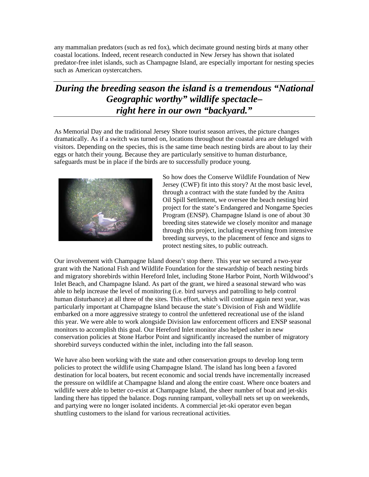any mammalian predators (such as red fox), which decimate ground nesting birds at many other coastal locations. Indeed, recent research conducted in New Jersey has shown that isolated predator-free inlet islands, such as Champagne Island, are especially important for nesting species such as American oystercatchers.

## *During the breeding season the island is a tremendous "National Geographic worthy" wildlife spectacle– right here in our own "backyard."*

As Memorial Day and the traditional Jersey Shore tourist season arrives, the picture changes dramatically. As if a switch was turned on, locations throughout the coastal area are deluged with visitors. Depending on the species, this is the same time beach nesting birds are about to lay their eggs or hatch their young. Because they are particularly sensitive to human disturbance, safeguards must be in place if the birds are to successfully produce young.



So how does the Conserve Wildlife Foundation of New Jersey (CWF) fit into this story? At the most basic level, through a contract with the state funded by the Anitra Oil Spill Settlement, we oversee the beach nesting bird project for the state's Endangered and Nongame Species Program (ENSP). Champagne Island is one of about 30 breeding sites statewide we closely monitor and manage through this project, including everything from intensive breeding surveys, to the placement of fence and signs to protect nesting sites, to public outreach.

Our involvement with Champagne Island doesn't stop there. This year we secured a two-year grant with the National Fish and Wildlife Foundation for the stewardship of beach nesting birds and migratory shorebirds within Hereford Inlet, including Stone Harbor Point, North Wildwood's Inlet Beach, and Champagne Island. As part of the grant, we hired a seasonal steward who was able to help increase the level of monitoring (i.e. bird surveys and patrolling to help control human disturbance) at all three of the sites. This effort, which will continue again next year, was particularly important at Champagne Island because the state's Division of Fish and Wildlife embarked on a more aggressive strategy to control the unfettered recreational use of the island this year. We were able to work alongside Division law enforcement officers and ENSP seasonal monitors to accomplish this goal. Our Hereford Inlet monitor also helped usher in new conservation policies at Stone Harbor Point and significantly increased the number of migratory shorebird surveys conducted within the inlet, including into the fall season.

We have also been working with the state and other conservation groups to develop long term policies to protect the wildlife using Champagne Island. The island has long been a favored destination for local boaters, but recent economic and social trends have incrementally increased the pressure on wildlife at Champagne Island and along the entire coast. Where once boaters and wildlife were able to better co-exist at Champagne Island, the sheer number of boat and jet-skis landing there has tipped the balance. Dogs running rampant, volleyball nets set up on weekends, and partying were no longer isolated incidents. A commercial jet-ski operator even began shuttling customers to the island for various recreational activities.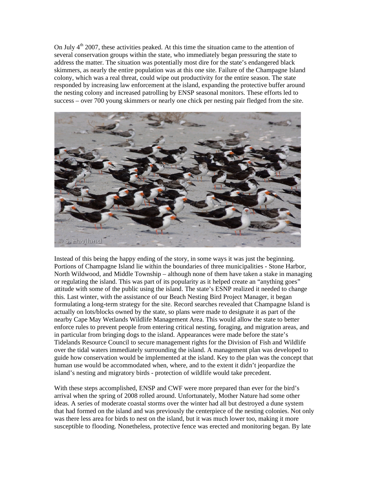On July  $4<sup>th</sup>$  2007, these activities peaked. At this time the situation came to the attention of several conservation groups within the state, who immediately began pressuring the state to address the matter. The situation was potentially most dire for the state's endangered black skimmers, as nearly the entire population was at this one site. Failure of the Champagne Island colony, which was a real threat, could wipe out productivity for the entire season. The state responded by increasing law enforcement at the island, expanding the protective buffer around the nesting colony and increased patrolling by ENSP seasonal monitors. These efforts led to success – over 700 young skimmers or nearly one chick per nesting pair fledged from the site.



Instead of this being the happy ending of the story, in some ways it was just the beginning. Portions of Champagne Island lie within the boundaries of three municipalities - Stone Harbor, North Wildwood, and Middle Township – although none of them have taken a stake in managing or regulating the island. This was part of its popularity as it helped create an "anything goes" attitude with some of the public using the island. The state's ESNP realized it needed to change this. Last winter, with the assistance of our Beach Nesting Bird Project Manager, it began formulating a long-term strategy for the site. Record searches revealed that Champagne Island is actually on lots/blocks owned by the state, so plans were made to designate it as part of the nearby Cape May Wetlands Wildlife Management Area. This would allow the state to better enforce rules to prevent people from entering critical nesting, foraging, and migration areas, and in particular from bringing dogs to the island. Appearances were made before the state's Tidelands Resource Council to secure management rights for the Division of Fish and Wildlife over the tidal waters immediately surrounding the island. A management plan was developed to guide how conservation would be implemented at the island. Key to the plan was the concept that human use would be accommodated when, where, and to the extent it didn't jeopardize the island's nesting and migratory birds - protection of wildlife would take precedent.

With these steps accomplished, ENSP and CWF were more prepared than ever for the bird's arrival when the spring of 2008 rolled around. Unfortunately, Mother Nature had some other ideas. A series of moderate coastal storms over the winter had all but destroyed a dune system that had formed on the island and was previously the centerpiece of the nesting colonies. Not only was there less area for birds to nest on the island, but it was much lower too, making it more susceptible to flooding. Nonetheless, protective fence was erected and monitoring began. By late